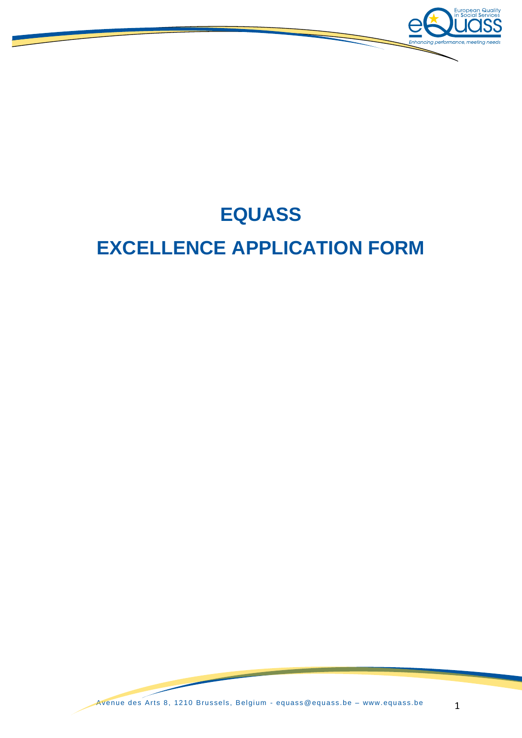

# **EQUASS EXCELLENCE APPLICATION FORM**

Avenue des Arts 8, 1210 Brussels, Belgium - [equass @equass.be](mailto:equass@equass.be) – [www. equass.be](http://www.equass.be/) 1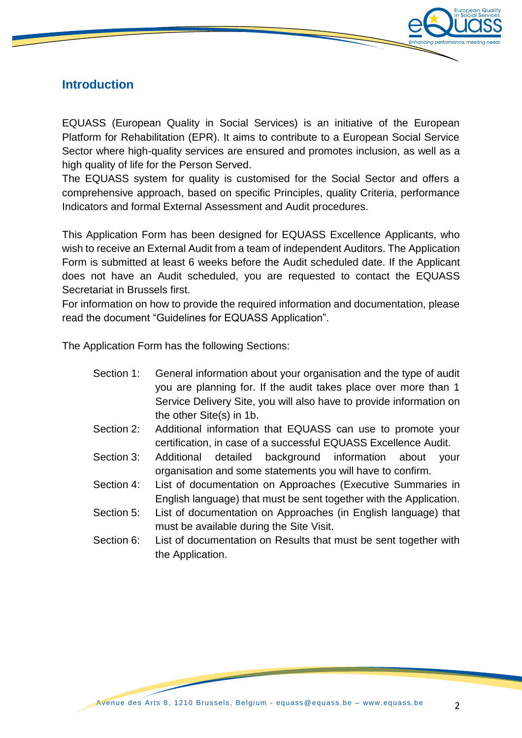

## **Introduction**

EQUASS (European Quality in Social Services) is an initiative of the European Platform for Rehabilitation (EPR). It aims to contribute to a European Social Service Sector where high-quality services are ensured and promotes inclusion, as well as a high quality of life for the Person Served.

The EQUASS system for quality is customised for the Social Sector and offers a comprehensive approach, based on specific Principles, quality Criteria, performance Indicators and formal External Assessment and Audit procedures.

This Application Form has been designed for EQUASS Excellence Applicants, who wish to receive an External Audit from a team of independent Auditors. The Application Form is submitted at least 6 weeks before the Audit scheduled date. If the Applicant does not have an Audit scheduled, you are requested to contact the EQUASS Secretariat in Brussels first.

For information on how to provide the required information and documentation, please read the document "Guidelines for EQUASS Application".

The Application Form has the following Sections:

| Section 1: | General information about your organisation and the type of audit   |
|------------|---------------------------------------------------------------------|
|            | you are planning for. If the audit takes place over more than 1     |
|            | Service Delivery Site, you will also have to provide information on |
|            | the other Site(s) in 1b.                                            |

- Section 2: Additional information that EQUASS can use to promote your certification, in case of a successful EQUASS Excellence Audit.
- Section 3: Additional detailed background information about your organisation and some statements you will have to confirm.
- Section 4: List of documentation on Approaches (Executive Summaries in English language) that must be sent together with the Application.
- Section 5: List of documentation on Approaches (in English language) that must be available during the Site Visit.
- Section 6: List of documentation on Results that must be sent together with the Application.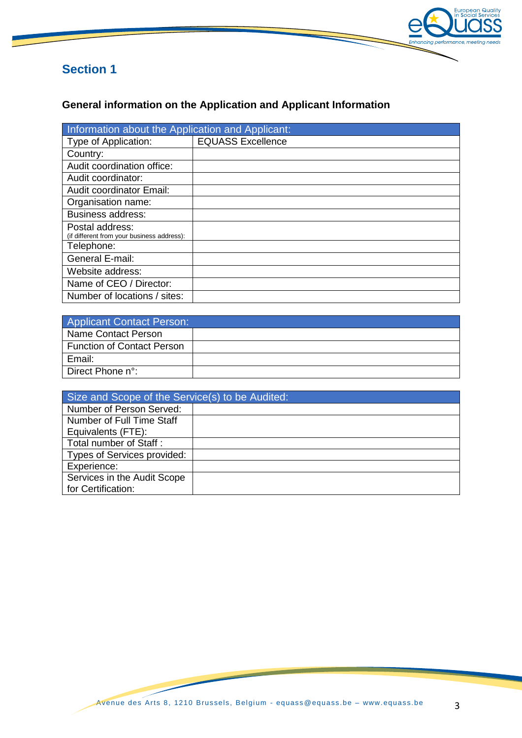

## **General information on the Application and Applicant Information**

| Information about the Application and Applicant:              |                          |  |
|---------------------------------------------------------------|--------------------------|--|
| Type of Application:                                          | <b>EQUASS Excellence</b> |  |
| Country:                                                      |                          |  |
| Audit coordination office:                                    |                          |  |
| Audit coordinator:                                            |                          |  |
| <b>Audit coordinator Email:</b>                               |                          |  |
| Organisation name:                                            |                          |  |
| <b>Business address:</b>                                      |                          |  |
| Postal address:<br>(if different from your business address): |                          |  |
| Telephone:                                                    |                          |  |
| General E-mail:                                               |                          |  |
| Website address:                                              |                          |  |
| Name of CEO / Director:                                       |                          |  |
| Number of locations / sites:                                  |                          |  |

| <b>Applicant Contact Person:</b>  |  |  |
|-----------------------------------|--|--|
| Name Contact Person               |  |  |
| <b>Function of Contact Person</b> |  |  |
| Email:                            |  |  |
| Direct Phone n°:                  |  |  |

| Size and Scope of the Service(s) to be Audited: |  |  |
|-------------------------------------------------|--|--|
| Number of Person Served:                        |  |  |
| Number of Full Time Staff                       |  |  |
| Equivalents (FTE):                              |  |  |
| Total number of Staff:                          |  |  |
| Types of Services provided:                     |  |  |
| Experience:                                     |  |  |
| Services in the Audit Scope                     |  |  |
| for Certification:                              |  |  |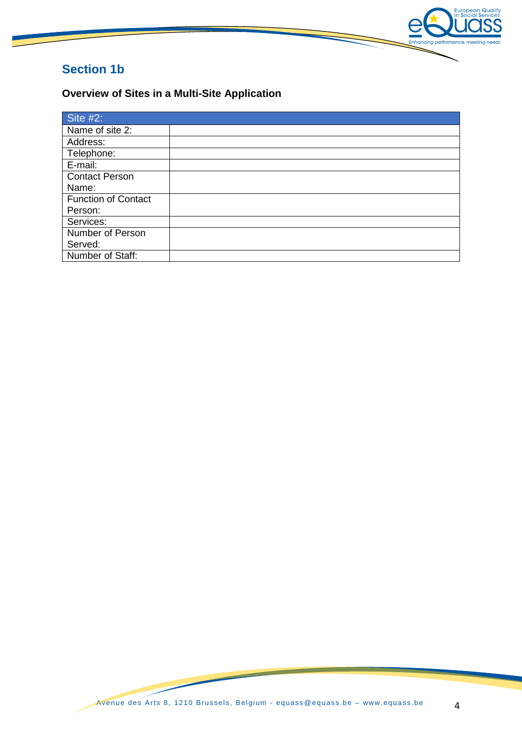

# **Section 1b**

**Overview of Sites in a Multi-Site Application**

| Site $#2$ :                |  |
|----------------------------|--|
| Name of site 2:            |  |
| Address:                   |  |
| Telephone:                 |  |
| E-mail:                    |  |
| <b>Contact Person</b>      |  |
| Name:                      |  |
| <b>Function of Contact</b> |  |
| Person:                    |  |
| Services:                  |  |
| Number of Person           |  |
| Served:                    |  |
| Number of Staff:           |  |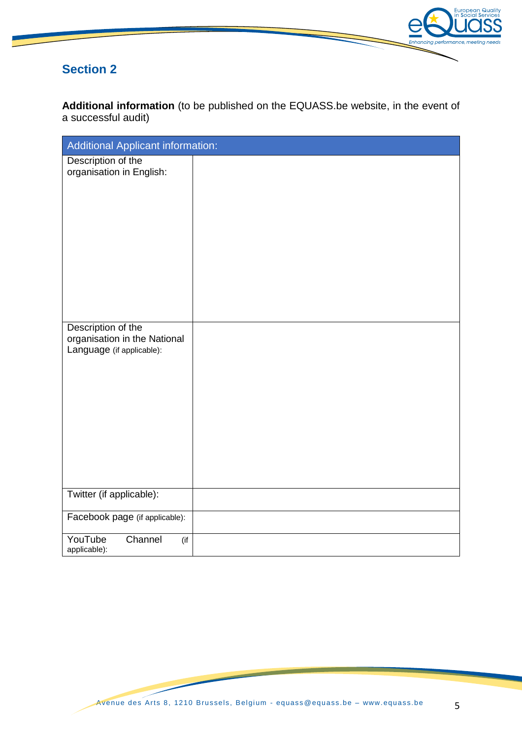

**Additional information** (to be published on the EQUASS.be website, in the event of a successful audit)

| Additional Applicant information:                         |  |
|-----------------------------------------------------------|--|
| Description of the<br>organisation in English:            |  |
| Description of the                                        |  |
| organisation in the National<br>Language (if applicable): |  |
| Twitter (if applicable):                                  |  |
| Facebook page (if applicable):                            |  |
| YouTube<br>Channel<br>(if<br>applicable):                 |  |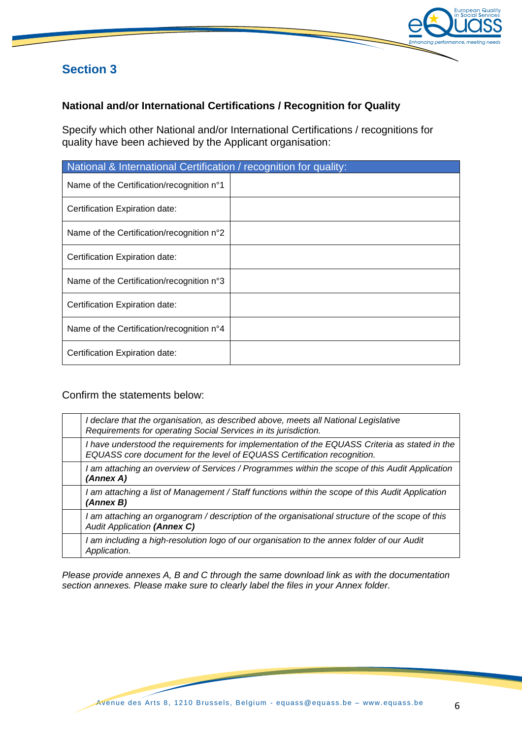

#### **National and/or International Certifications / Recognition for Quality**

Specify which other National and/or International Certifications / recognitions for quality have been achieved by the Applicant organisation:

| National & International Certification / recognition for quality: |  |  |
|-------------------------------------------------------------------|--|--|
| Name of the Certification/recognition n°1                         |  |  |
| Certification Expiration date:                                    |  |  |
| Name of the Certification/recognition n°2                         |  |  |
| Certification Expiration date:                                    |  |  |
| Name of the Certification/recognition n°3                         |  |  |
| Certification Expiration date:                                    |  |  |
| Name of the Certification/recognition n°4                         |  |  |
| Certification Expiration date:                                    |  |  |

#### Confirm the statements below:

| I declare that the organisation, as described above, meets all National Legislative<br>Requirements for operating Social Services in its jurisdiction.                   |
|--------------------------------------------------------------------------------------------------------------------------------------------------------------------------|
| I have understood the requirements for implementation of the EQUASS Criteria as stated in the<br>EQUASS core document for the level of EQUASS Certification recognition. |
| I am attaching an overview of Services / Programmes within the scope of this Audit Application<br>(Annex A)                                                              |
| I am attaching a list of Management / Staff functions within the scope of this Audit Application<br>(Annex B)                                                            |
| I am attaching an organogram / description of the organisational structure of the scope of this<br><b>Audit Application (Annex C)</b>                                    |
| I am including a high-resolution logo of our organisation to the annex folder of our Audit<br>Application.                                                               |

*Please provide annexes A, B and C through the same download link as with the documentation section annexes. Please make sure to clearly label the files in your Annex folder.*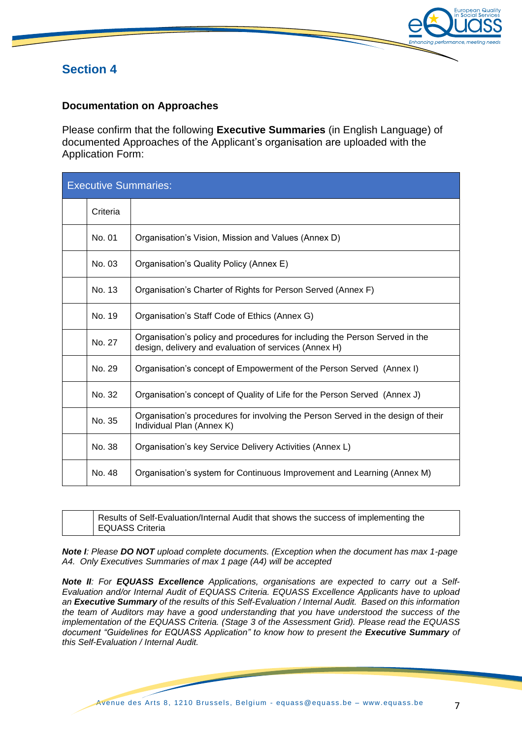

#### **Documentation on Approaches**

Please confirm that the following **Executive Summaries** (in English Language) of documented Approaches of the Applicant's organisation are uploaded with the Application Form:

| <b>Executive Summaries:</b> |          |                                                                                                                                      |
|-----------------------------|----------|--------------------------------------------------------------------------------------------------------------------------------------|
|                             | Criteria |                                                                                                                                      |
|                             | No. 01   | Organisation's Vision, Mission and Values (Annex D)                                                                                  |
|                             | No. 03   | Organisation's Quality Policy (Annex E)                                                                                              |
|                             | No. 13   | Organisation's Charter of Rights for Person Served (Annex F)                                                                         |
|                             | No. 19   | Organisation's Staff Code of Ethics (Annex G)                                                                                        |
|                             | No. 27   | Organisation's policy and procedures for including the Person Served in the<br>design, delivery and evaluation of services (Annex H) |
|                             | No. 29   | Organisation's concept of Empowerment of the Person Served (Annex I)                                                                 |
|                             | No. 32   | Organisation's concept of Quality of Life for the Person Served (Annex J)                                                            |
|                             | No. 35   | Organisation's procedures for involving the Person Served in the design of their<br>Individual Plan (Annex K)                        |
|                             | No. 38   | Organisation's key Service Delivery Activities (Annex L)                                                                             |
|                             | No. 48   | Organisation's system for Continuous Improvement and Learning (Annex M)                                                              |

| Results of Self-Evaluation/Internal Audit that shows the success of implementing the |
|--------------------------------------------------------------------------------------|
| EQUASS Criteria                                                                      |

*Note I: Please DO NOT upload complete documents. (Exception when the document has max 1-page A4. Only Executives Summaries of max 1 page (A4) will be accepted*

*Note II: For EQUASS Excellence Applications, organisations are expected to carry out a Self-Evaluation and/or Internal Audit of EQUASS Criteria. EQUASS Excellence Applicants have to upload an Executive Summary of the results of this Self-Evaluation / Internal Audit. Based on this information the team of Auditors may have a good understanding that you have understood the success of the implementation of the EQUASS Criteria. (Stage 3 of the Assessment Grid). Please read the EQUASS document "Guidelines for EQUASS Application" to know how to present the Executive Summary of this Self-Evaluation / Internal Audit.*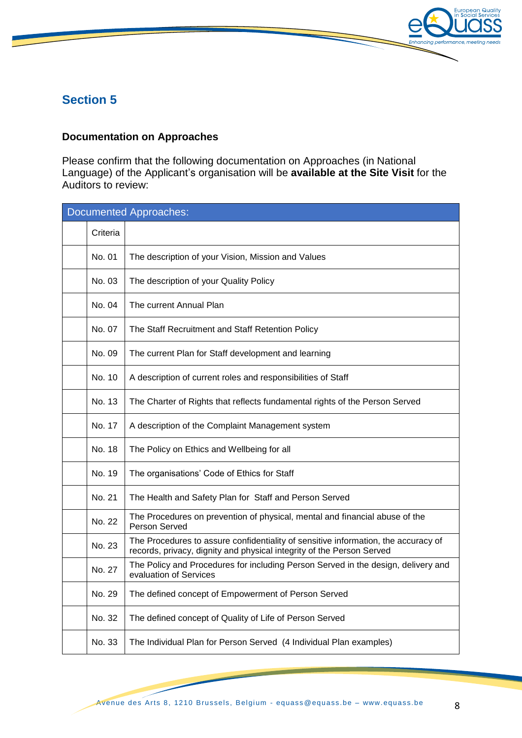

#### **Documentation on Approaches**

Please confirm that the following documentation on Approaches (in National Language) of the Applicant's organisation will be **available at the Site Visit** for the Auditors to review:

| Documented Approaches: |                                                                                                                                                             |  |
|------------------------|-------------------------------------------------------------------------------------------------------------------------------------------------------------|--|
| Criteria               |                                                                                                                                                             |  |
| No. 01                 | The description of your Vision, Mission and Values                                                                                                          |  |
| No. 03                 | The description of your Quality Policy                                                                                                                      |  |
| No. 04                 | The current Annual Plan                                                                                                                                     |  |
| No. 07                 | The Staff Recruitment and Staff Retention Policy                                                                                                            |  |
| No. 09                 | The current Plan for Staff development and learning                                                                                                         |  |
| No. 10                 | A description of current roles and responsibilities of Staff                                                                                                |  |
| No. 13                 | The Charter of Rights that reflects fundamental rights of the Person Served                                                                                 |  |
| No. 17                 | A description of the Complaint Management system                                                                                                            |  |
| No. 18                 | The Policy on Ethics and Wellbeing for all                                                                                                                  |  |
| No. 19                 | The organisations' Code of Ethics for Staff                                                                                                                 |  |
| No. 21                 | The Health and Safety Plan for Staff and Person Served                                                                                                      |  |
| No. 22                 | The Procedures on prevention of physical, mental and financial abuse of the<br>Person Served                                                                |  |
| No. 23                 | The Procedures to assure confidentiality of sensitive information, the accuracy of<br>records, privacy, dignity and physical integrity of the Person Served |  |
| No. 27                 | The Policy and Procedures for including Person Served in the design, delivery and<br>evaluation of Services                                                 |  |
| No. 29                 | The defined concept of Empowerment of Person Served                                                                                                         |  |
| No. 32                 | The defined concept of Quality of Life of Person Served                                                                                                     |  |
| No. 33                 | The Individual Plan for Person Served (4 Individual Plan examples)                                                                                          |  |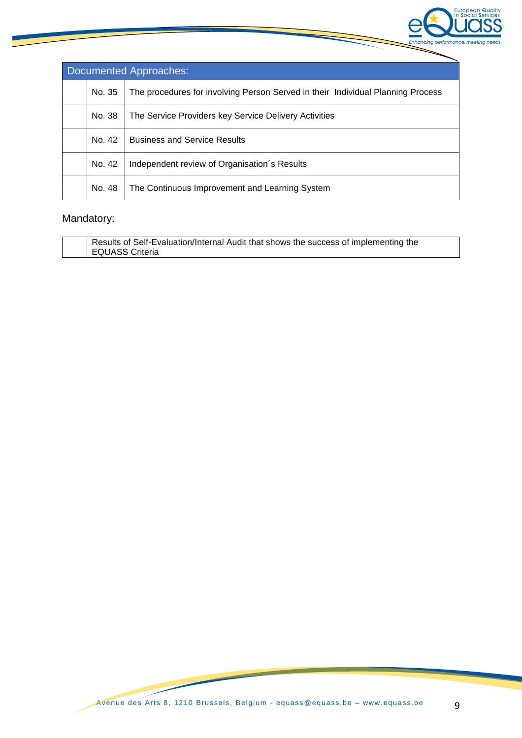

| Documented Approaches: |                                                                                 |  |
|------------------------|---------------------------------------------------------------------------------|--|
| No. 35                 | The procedures for involving Person Served in their Individual Planning Process |  |
| No. 38                 | The Service Providers key Service Delivery Activities                           |  |
| No. 42                 | <b>Business and Service Results</b>                                             |  |
| No. 42                 | Independent review of Organisation's Results                                    |  |
| No. 48                 | The Continuous Improvement and Learning System                                  |  |

## Mandatory:

| Results of Self-Evaluation/Internal Audit that shows the success of implementing the |
|--------------------------------------------------------------------------------------|
| EQUASS Criteria                                                                      |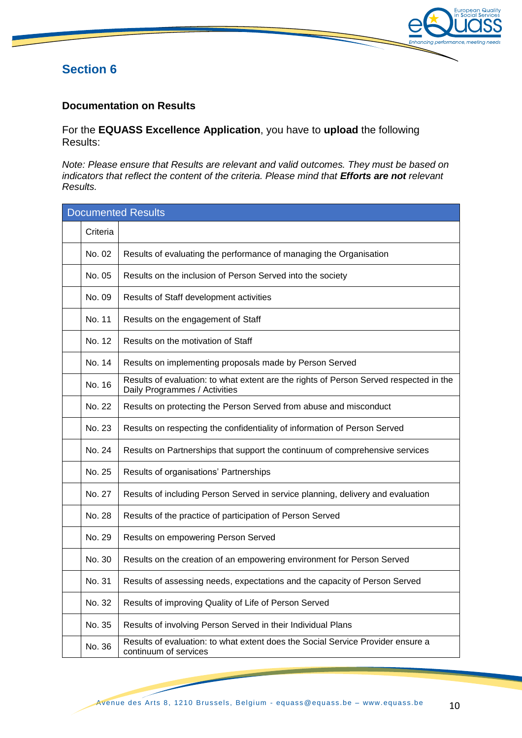

#### **Documentation on Results**

For the **EQUASS Excellence Application**, you have to **upload** the following Results:

*Note: Please ensure that Results are relevant and valid outcomes. They must be based on indicators that reflect the content of the criteria. Please mind that Efforts are not relevant Results.*

| <b>Documented Results</b> |          |                                                                                                                         |  |  |
|---------------------------|----------|-------------------------------------------------------------------------------------------------------------------------|--|--|
|                           | Criteria |                                                                                                                         |  |  |
|                           | No. 02   | Results of evaluating the performance of managing the Organisation                                                      |  |  |
|                           | No. 05   | Results on the inclusion of Person Served into the society                                                              |  |  |
|                           | No. 09   | Results of Staff development activities                                                                                 |  |  |
|                           | No. 11   | Results on the engagement of Staff                                                                                      |  |  |
|                           | No. 12   | Results on the motivation of Staff                                                                                      |  |  |
|                           | No. 14   | Results on implementing proposals made by Person Served                                                                 |  |  |
|                           | No. 16   | Results of evaluation: to what extent are the rights of Person Served respected in the<br>Daily Programmes / Activities |  |  |
|                           | No. 22   | Results on protecting the Person Served from abuse and misconduct                                                       |  |  |
|                           | No. 23   | Results on respecting the confidentiality of information of Person Served                                               |  |  |
|                           | No. 24   | Results on Partnerships that support the continuum of comprehensive services                                            |  |  |
|                           | No. 25   | Results of organisations' Partnerships                                                                                  |  |  |
|                           | No. 27   | Results of including Person Served in service planning, delivery and evaluation                                         |  |  |
|                           | No. 28   | Results of the practice of participation of Person Served                                                               |  |  |
|                           | No. 29   | Results on empowering Person Served                                                                                     |  |  |
|                           | No. 30   | Results on the creation of an empowering environment for Person Served                                                  |  |  |
|                           | No. 31   | Results of assessing needs, expectations and the capacity of Person Served                                              |  |  |
|                           | No. 32   | Results of improving Quality of Life of Person Served                                                                   |  |  |
|                           | No. 35   | Results of involving Person Served in their Individual Plans                                                            |  |  |
|                           | No. 36   | Results of evaluation: to what extent does the Social Service Provider ensure a<br>continuum of services                |  |  |